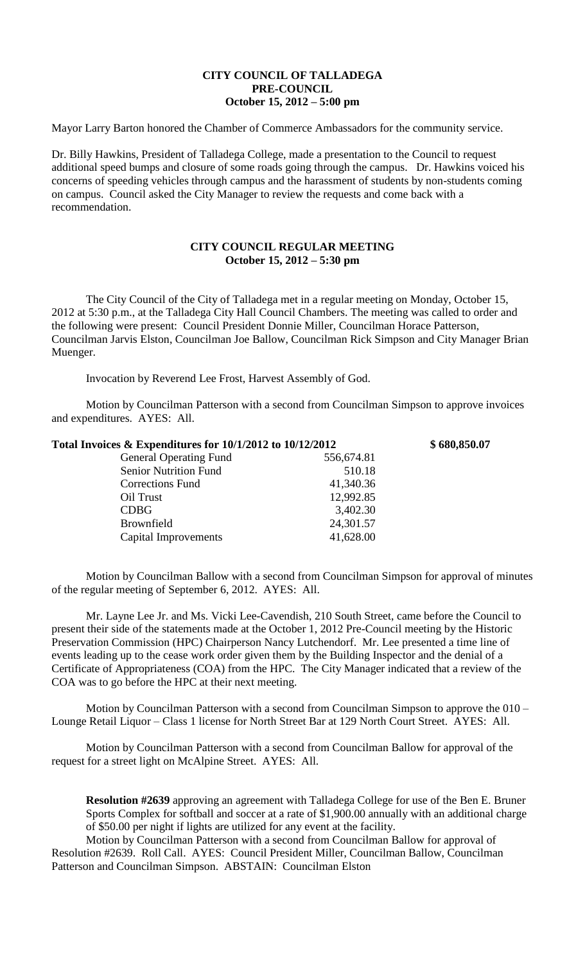## **CITY COUNCIL OF TALLADEGA PRE-COUNCIL October 15, 2012 – 5:00 pm**

Mayor Larry Barton honored the Chamber of Commerce Ambassadors for the community service.

Dr. Billy Hawkins, President of Talladega College, made a presentation to the Council to request additional speed bumps and closure of some roads going through the campus. Dr. Hawkins voiced his concerns of speeding vehicles through campus and the harassment of students by non-students coming on campus. Council asked the City Manager to review the requests and come back with a recommendation.

## **CITY COUNCIL REGULAR MEETING October 15, 2012 – 5:30 pm**

The City Council of the City of Talladega met in a regular meeting on Monday, October 15, 2012 at 5:30 p.m., at the Talladega City Hall Council Chambers. The meeting was called to order and the following were present: Council President Donnie Miller, Councilman Horace Patterson, Councilman Jarvis Elston, Councilman Joe Ballow, Councilman Rick Simpson and City Manager Brian Muenger.

Invocation by Reverend Lee Frost, Harvest Assembly of God.

Motion by Councilman Patterson with a second from Councilman Simpson to approve invoices and expenditures. AYES: All.

| Total Invoices $&$ Expenditures for 10/1/2012 to 10/12/2012 |            | \$680,850.07 |
|-------------------------------------------------------------|------------|--------------|
| <b>General Operating Fund</b>                               | 556,674.81 |              |
| <b>Senior Nutrition Fund</b>                                | 510.18     |              |
| <b>Corrections Fund</b>                                     | 41,340.36  |              |
| Oil Trust                                                   | 12,992.85  |              |
| <b>CDBG</b>                                                 | 3,402.30   |              |
| Brownfield                                                  | 24,301.57  |              |
| Capital Improvements                                        | 41,628.00  |              |
|                                                             |            |              |

Motion by Councilman Ballow with a second from Councilman Simpson for approval of minutes of the regular meeting of September 6, 2012. AYES: All.

Mr. Layne Lee Jr. and Ms. Vicki Lee-Cavendish, 210 South Street, came before the Council to present their side of the statements made at the October 1, 2012 Pre-Council meeting by the Historic Preservation Commission (HPC) Chairperson Nancy Lutchendorf. Mr. Lee presented a time line of events leading up to the cease work order given them by the Building Inspector and the denial of a Certificate of Appropriateness (COA) from the HPC. The City Manager indicated that a review of the COA was to go before the HPC at their next meeting.

Motion by Councilman Patterson with a second from Councilman Simpson to approve the 010 – Lounge Retail Liquor – Class 1 license for North Street Bar at 129 North Court Street. AYES: All.

Motion by Councilman Patterson with a second from Councilman Ballow for approval of the request for a street light on McAlpine Street. AYES: All.

**Resolution #2639** approving an agreement with Talladega College for use of the Ben E. Bruner Sports Complex for softball and soccer at a rate of \$1,900.00 annually with an additional charge of \$50.00 per night if lights are utilized for any event at the facility.

Motion by Councilman Patterson with a second from Councilman Ballow for approval of Resolution #2639. Roll Call. AYES: Council President Miller, Councilman Ballow, Councilman Patterson and Councilman Simpson. ABSTAIN: Councilman Elston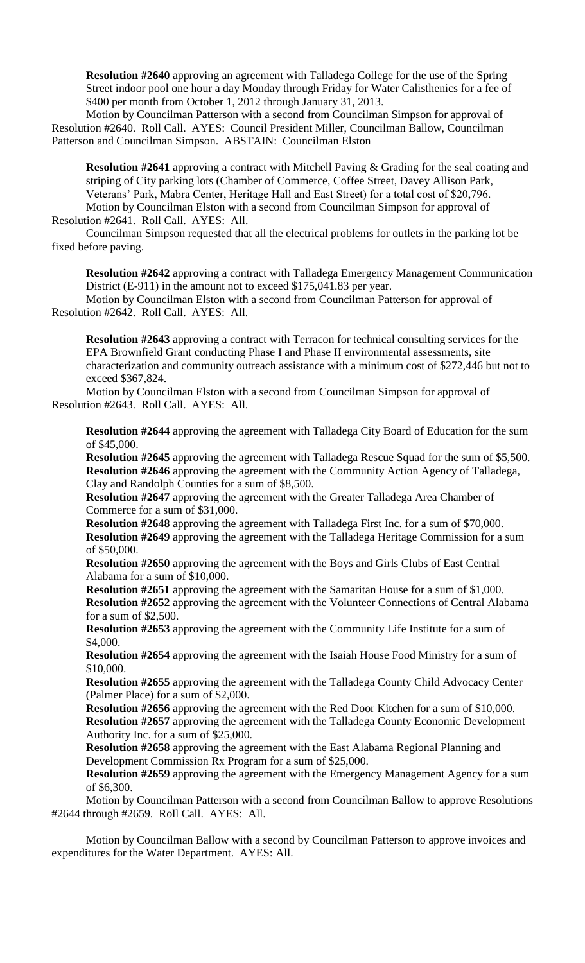**Resolution #2640** approving an agreement with Talladega College for the use of the Spring Street indoor pool one hour a day Monday through Friday for Water Calisthenics for a fee of \$400 per month from October 1, 2012 through January 31, 2013.

Motion by Councilman Patterson with a second from Councilman Simpson for approval of Resolution #2640. Roll Call. AYES: Council President Miller, Councilman Ballow, Councilman Patterson and Councilman Simpson. ABSTAIN: Councilman Elston

**Resolution #2641** approving a contract with Mitchell Paving & Grading for the seal coating and striping of City parking lots (Chamber of Commerce, Coffee Street, Davey Allison Park, Veterans' Park, Mabra Center, Heritage Hall and East Street) for a total cost of \$20,796. Motion by Councilman Elston with a second from Councilman Simpson for approval of Resolution #2641. Roll Call. AYES: All.

Councilman Simpson requested that all the electrical problems for outlets in the parking lot be fixed before paving.

**Resolution #2642** approving a contract with Talladega Emergency Management Communication District (E-911) in the amount not to exceed \$175,041.83 per year.

Motion by Councilman Elston with a second from Councilman Patterson for approval of Resolution #2642. Roll Call. AYES: All.

**Resolution #2643** approving a contract with Terracon for technical consulting services for the EPA Brownfield Grant conducting Phase I and Phase II environmental assessments, site characterization and community outreach assistance with a minimum cost of \$272,446 but not to exceed \$367,824.

Motion by Councilman Elston with a second from Councilman Simpson for approval of Resolution #2643. Roll Call. AYES: All.

**Resolution #2644** approving the agreement with Talladega City Board of Education for the sum of \$45,000.

**Resolution #2645** approving the agreement with Talladega Rescue Squad for the sum of \$5,500. **Resolution #2646** approving the agreement with the Community Action Agency of Talladega, Clay and Randolph Counties for a sum of \$8,500.

**Resolution #2647** approving the agreement with the Greater Talladega Area Chamber of Commerce for a sum of \$31,000.

**Resolution #2648** approving the agreement with Talladega First Inc. for a sum of \$70,000. **Resolution #2649** approving the agreement with the Talladega Heritage Commission for a sum of \$50,000.

**Resolution #2650** approving the agreement with the Boys and Girls Clubs of East Central Alabama for a sum of \$10,000.

**Resolution #2651** approving the agreement with the Samaritan House for a sum of \$1,000. **Resolution #2652** approving the agreement with the Volunteer Connections of Central Alabama for a sum of \$2,500.

**Resolution #2653** approving the agreement with the Community Life Institute for a sum of \$4,000.

**Resolution #2654** approving the agreement with the Isaiah House Food Ministry for a sum of \$10,000.

**Resolution #2655** approving the agreement with the Talladega County Child Advocacy Center (Palmer Place) for a sum of \$2,000.

**Resolution #2656** approving the agreement with the Red Door Kitchen for a sum of \$10,000. **Resolution #2657** approving the agreement with the Talladega County Economic Development Authority Inc. for a sum of \$25,000.

**Resolution #2658** approving the agreement with the East Alabama Regional Planning and Development Commission Rx Program for a sum of \$25,000.

**Resolution #2659** approving the agreement with the Emergency Management Agency for a sum of \$6,300.

Motion by Councilman Patterson with a second from Councilman Ballow to approve Resolutions #2644 through #2659. Roll Call. AYES: All.

Motion by Councilman Ballow with a second by Councilman Patterson to approve invoices and expenditures for the Water Department. AYES: All.